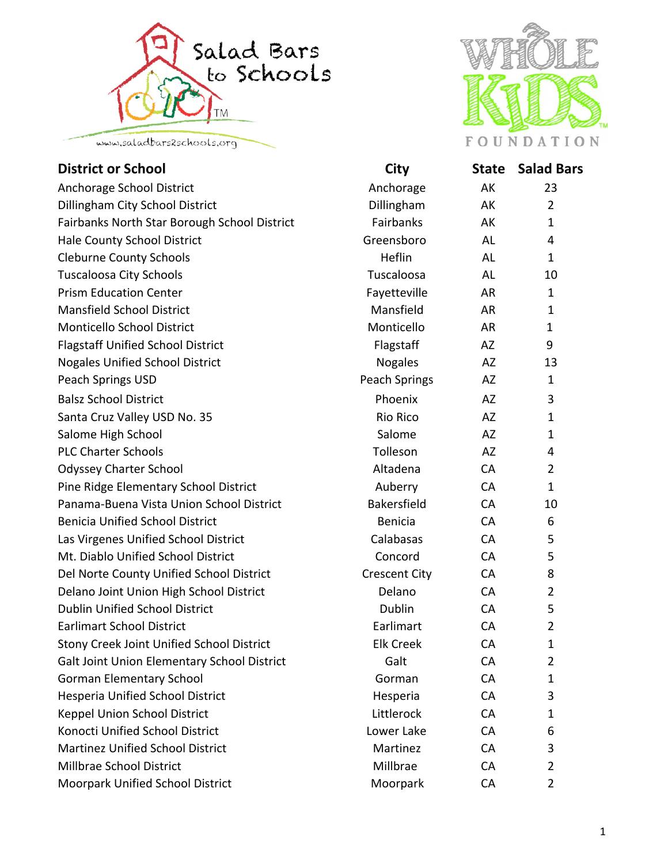



| <b>District or School</b>                        | <b>City</b>          | <b>State</b> | <b>Salad Bars</b> |
|--------------------------------------------------|----------------------|--------------|-------------------|
| Anchorage School District                        | Anchorage            | AK           | 23                |
| Dillingham City School District                  | Dillingham           | AK           | $\overline{2}$    |
| Fairbanks North Star Borough School District     | Fairbanks            | AK           | $\mathbf{1}$      |
| Hale County School District                      | Greensboro           | AL           | 4                 |
| <b>Cleburne County Schools</b>                   | Heflin               | AL           | $\mathbf{1}$      |
| <b>Tuscaloosa City Schools</b>                   | Tuscaloosa           | AL           | 10                |
| <b>Prism Education Center</b>                    | Fayetteville         | AR           | $\mathbf{1}$      |
| <b>Mansfield School District</b>                 | Mansfield            | AR           | $\mathbf{1}$      |
| Monticello School District                       | Monticello           | <b>AR</b>    | 1                 |
| <b>Flagstaff Unified School District</b>         | Flagstaff            | AZ           | 9                 |
| <b>Nogales Unified School District</b>           | <b>Nogales</b>       | AZ           | 13                |
| Peach Springs USD                                | Peach Springs        | AZ           | $\mathbf{1}$      |
| <b>Balsz School District</b>                     | Phoenix              | AZ           | 3                 |
| Santa Cruz Valley USD No. 35                     | <b>Rio Rico</b>      | <b>AZ</b>    | $\mathbf{1}$      |
| Salome High School                               | Salome               | AZ           | 1                 |
| <b>PLC Charter Schools</b>                       | Tolleson             | AZ           | 4                 |
| <b>Odyssey Charter School</b>                    | Altadena             | CA           | $\overline{2}$    |
| Pine Ridge Elementary School District            | Auberry              | CA           | $\mathbf{1}$      |
| Panama-Buena Vista Union School District         | <b>Bakersfield</b>   | <b>CA</b>    | 10                |
| <b>Benicia Unified School District</b>           | <b>Benicia</b>       | CA           | 6                 |
| Las Virgenes Unified School District             | Calabasas            | CA           | 5                 |
| Mt. Diablo Unified School District               | Concord              | <b>CA</b>    | 5                 |
| Del Norte County Unified School District         | <b>Crescent City</b> | CA           | 8                 |
| Delano Joint Union High School District          | Delano               | CA           | $\overline{2}$    |
| <b>Dublin Unified School District</b>            | Dublin               | <b>CA</b>    | 5                 |
| <b>Earlimart School District</b>                 | Earlimart            | <b>CA</b>    | $\overline{2}$    |
| <b>Stony Creek Joint Unified School District</b> | <b>Elk Creek</b>     | CA           | $\mathbf{1}$      |
| Galt Joint Union Elementary School District      | Galt                 | CA           | $\overline{2}$    |
| <b>Gorman Elementary School</b>                  | Gorman               | CA           | $\mathbf{1}$      |
| <b>Hesperia Unified School District</b>          | Hesperia             | CA           | 3                 |
| Keppel Union School District                     | Littlerock           | CA           | $\mathbf{1}$      |
| Konocti Unified School District                  | Lower Lake           | CA           | 6                 |
| <b>Martinez Unified School District</b>          | Martinez             | CA           | 3                 |
| Millbrae School District                         | Millbrae             | CA           | $\overline{2}$    |
| Moorpark Unified School District                 | Moorpark             | CA           | $\overline{2}$    |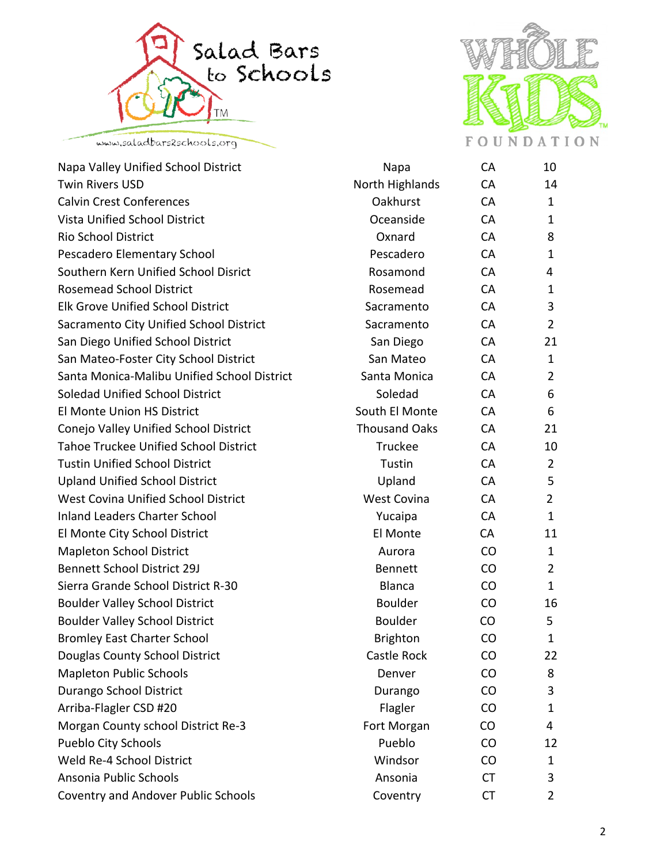



| Napa Valley Unified School District          | Napa                 | <b>CA</b> | 10             |
|----------------------------------------------|----------------------|-----------|----------------|
| <b>Twin Rivers USD</b>                       | North Highlands      | <b>CA</b> | 14             |
| <b>Calvin Crest Conferences</b>              | Oakhurst             | CA        | 1              |
| <b>Vista Unified School District</b>         | Oceanside            | <b>CA</b> | 1              |
| <b>Rio School District</b>                   | Oxnard               | <b>CA</b> | 8              |
| Pescadero Elementary School                  | Pescadero            | CA        | 1              |
| Southern Kern Unified School Disrict         | Rosamond             | CA        | 4              |
| <b>Rosemead School District</b>              | Rosemead             | <b>CA</b> | $\mathbf{1}$   |
| <b>Elk Grove Unified School District</b>     | Sacramento           | CA        | 3              |
| Sacramento City Unified School District      | Sacramento           | <b>CA</b> | $\overline{2}$ |
| San Diego Unified School District            | San Diego            | <b>CA</b> | 21             |
| San Mateo-Foster City School District        | San Mateo            | <b>CA</b> | 1              |
| Santa Monica-Malibu Unified School District  | Santa Monica         | <b>CA</b> | 2              |
| <b>Soledad Unified School District</b>       | Soledad              | <b>CA</b> | 6              |
| <b>El Monte Union HS District</b>            | South El Monte       | CA        | 6              |
| Conejo Valley Unified School District        | <b>Thousand Oaks</b> | <b>CA</b> | 21             |
| <b>Tahoe Truckee Unified School District</b> | Truckee              | <b>CA</b> | 10             |
| <b>Tustin Unified School District</b>        | Tustin               | CA        | $\overline{2}$ |
| <b>Upland Unified School District</b>        | Upland               | CA        | 5              |
| <b>West Covina Unified School District</b>   | <b>West Covina</b>   | <b>CA</b> | $\overline{2}$ |
| <b>Inland Leaders Charter School</b>         | Yucaipa              | <b>CA</b> | $\mathbf{1}$   |
| El Monte City School District                | El Monte             | CA        | 11             |
| <b>Mapleton School District</b>              | Aurora               | CO        | $\mathbf{1}$   |
| <b>Bennett School District 29J</b>           | <b>Bennett</b>       | CO        | $\overline{2}$ |
| Sierra Grande School District R-30           | <b>Blanca</b>        | CO        | 1              |
| <b>Boulder Valley School District</b>        | <b>Boulder</b>       | CO        | 16             |
| <b>Boulder Valley School District</b>        | <b>Boulder</b>       | CO        | 5              |
| <b>Bromley East Charter School</b>           | <b>Brighton</b>      | CO        | $\mathbf{1}$   |
| Douglas County School District               | <b>Castle Rock</b>   | CO        | 22             |
| <b>Mapleton Public Schools</b>               | Denver               | $\rm CO$  | 8              |
| Durango School District                      | Durango              | CO        | 3              |
| Arriba-Flagler CSD #20                       | Flagler              | $\rm CO$  | $\mathbf{1}$   |
| Morgan County school District Re-3           | Fort Morgan          | <b>CO</b> | 4              |
| Pueblo City Schools                          | Pueblo               | CO        | 12             |
| Weld Re-4 School District                    | Windsor              | $\rm CO$  | $\mathbf{1}$   |
| Ansonia Public Schools                       | Ansonia              | <b>CT</b> | 3              |
| <b>Coventry and Andover Public Schools</b>   | Coventry             | <b>CT</b> | $\overline{2}$ |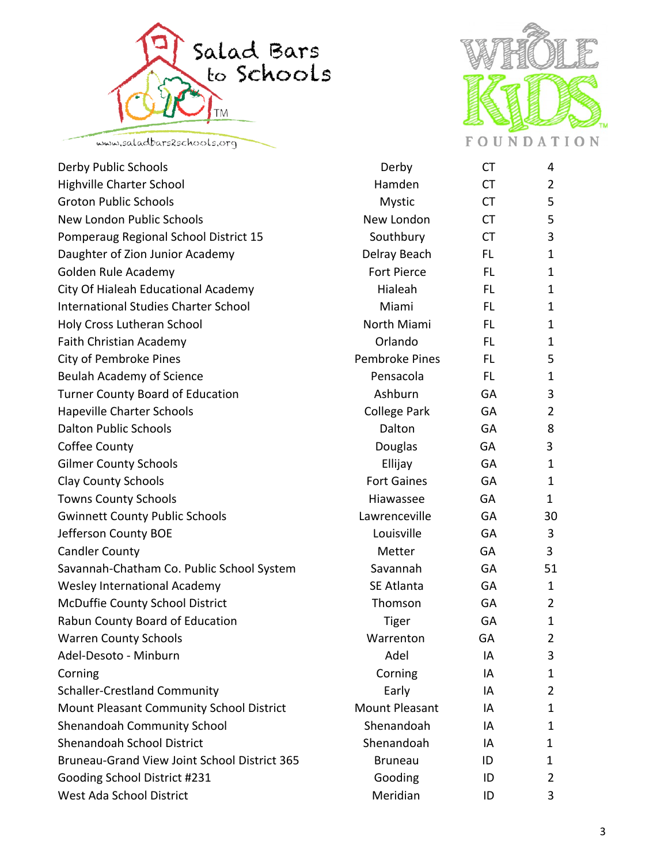



| Derby Public Schools                                | Derby                 | <b>CT</b> | 4              |
|-----------------------------------------------------|-----------------------|-----------|----------------|
| <b>Highville Charter School</b>                     | Hamden                | <b>CT</b> | 2              |
| <b>Groton Public Schools</b>                        | <b>Mystic</b>         | <b>CT</b> | 5              |
| New London Public Schools                           | New London            | <b>CT</b> | 5              |
| Pomperaug Regional School District 15               | Southbury             | <b>CT</b> | 3              |
| Daughter of Zion Junior Academy                     | Delray Beach          | FL.       | $\mathbf{1}$   |
| Golden Rule Academy                                 | <b>Fort Pierce</b>    | <b>FL</b> | $\mathbf{1}$   |
| City Of Hialeah Educational Academy                 | Hialeah               | <b>FL</b> | $\mathbf 1$    |
| <b>International Studies Charter School</b>         | Miami                 | <b>FL</b> | $\mathbf 1$    |
| Holy Cross Lutheran School                          | North Miami           | FL.       | $\mathbf{1}$   |
| <b>Faith Christian Academy</b>                      | Orlando               | <b>FL</b> | $\mathbf 1$    |
| <b>City of Pembroke Pines</b>                       | <b>Pembroke Pines</b> | <b>FL</b> | 5              |
| <b>Beulah Academy of Science</b>                    | Pensacola             | FL.       | $\mathbf{1}$   |
| <b>Turner County Board of Education</b>             | Ashburn               | GA        | 3              |
| <b>Hapeville Charter Schools</b>                    | <b>College Park</b>   | GA        | $\overline{2}$ |
| <b>Dalton Public Schools</b>                        | Dalton                | GA        | 8              |
| Coffee County                                       | Douglas               | GA        | 3              |
| <b>Gilmer County Schools</b>                        | Ellijay               | GA        | $\mathbf{1}$   |
| <b>Clay County Schools</b>                          | <b>Fort Gaines</b>    | GA        | $\mathbf{1}$   |
| <b>Towns County Schools</b>                         | Hiawassee             | GA        | 1              |
| <b>Gwinnett County Public Schools</b>               | Lawrenceville         | GA        | 30             |
| Jefferson County BOE                                | Louisville            | GA        | 3              |
| <b>Candler County</b>                               | Metter                | GA        | 3              |
| Savannah-Chatham Co. Public School System           | Savannah              | GA        | 51             |
| <b>Wesley International Academy</b>                 | <b>SE Atlanta</b>     | GA        | $\mathbf{1}$   |
| McDuffie County School District                     | Thomson               | GA        | 2              |
| Rabun County Board of Education                     | <b>Tiger</b>          | GA        | $\mathbf{1}$   |
| <b>Warren County Schools</b>                        | Warrenton             | GA        | $\overline{2}$ |
| Adel-Desoto - Minburn                               | Adel                  | ΙA        | 3              |
| Corning                                             | Corning               | IA        | 1              |
| <b>Schaller-Crestland Community</b>                 | Early                 | IA        | 2              |
| Mount Pleasant Community School District            | <b>Mount Pleasant</b> | IA        | $\mathbf 1$    |
| <b>Shenandoah Community School</b>                  | Shenandoah            | IA        | 1              |
| <b>Shenandoah School District</b>                   | Shenandoah            | IA        | 1              |
| <b>Bruneau-Grand View Joint School District 365</b> | <b>Bruneau</b>        | ID        | 1              |
| Gooding School District #231                        | Gooding               | ID        | 2              |
| West Ada School District                            | Meridian              | ID        | 3              |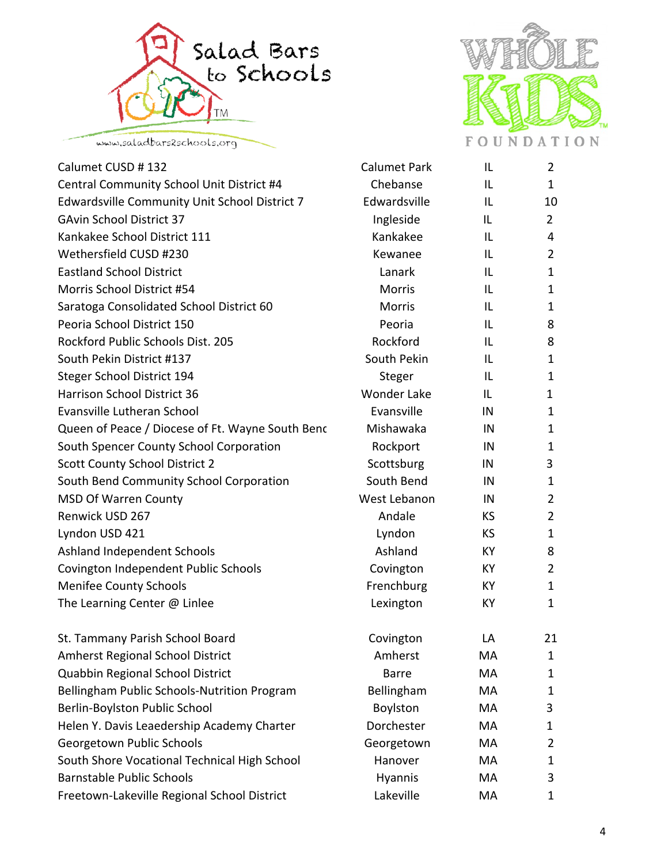



| Calumet CUSD #132                                | <b>Calumet Park</b> | IL        | $\overline{2}$ |
|--------------------------------------------------|---------------------|-----------|----------------|
| Central Community School Unit District #4        | Chebanse            | IL        | $\mathbf{1}$   |
| Edwardsville Community Unit School District 7    | Edwardsville        | IL        | 10             |
| <b>GAvin School District 37</b>                  | Ingleside           | IL        | $\overline{2}$ |
| Kankakee School District 111                     | Kankakee            | IL        | $\overline{4}$ |
| Wethersfield CUSD #230                           | Kewanee             | IL        | $\overline{2}$ |
| <b>Eastland School District</b>                  | Lanark              | IL        | $\mathbf{1}$   |
| Morris School District #54                       | <b>Morris</b>       | IL        | 1              |
| Saratoga Consolidated School District 60         | <b>Morris</b>       | IL        | $\mathbf 1$    |
| Peoria School District 150                       | Peoria              | IL        | 8              |
| Rockford Public Schools Dist. 205                | Rockford            | IL        | 8              |
| South Pekin District #137                        | South Pekin         | IL        | $\mathbf{1}$   |
| <b>Steger School District 194</b>                | Steger              | IL        | $\mathbf{1}$   |
| Harrison School District 36                      | <b>Wonder Lake</b>  | IL        | 1              |
| Evansville Lutheran School                       | Evansville          | IN        | $\mathbf 1$    |
| Queen of Peace / Diocese of Ft. Wayne South Benc | Mishawaka           | IN        | $\mathbf{1}$   |
| South Spencer County School Corporation          | Rockport            | IN        | 1              |
| <b>Scott County School District 2</b>            | Scottsburg          | IN        | 3              |
| South Bend Community School Corporation          | South Bend          | IN        | $\mathbf{1}$   |
| <b>MSD Of Warren County</b>                      | West Lebanon        | IN        | $\overline{2}$ |
| Renwick USD 267                                  | Andale              | <b>KS</b> | $\overline{2}$ |
| Lyndon USD 421                                   | Lyndon              | <b>KS</b> | $\mathbf{1}$   |
| Ashland Independent Schools                      | Ashland             | KY        | 8              |
| Covington Independent Public Schools             | Covington           | KY        | $\overline{2}$ |
| <b>Menifee County Schools</b>                    | Frenchburg          | KY        | $\mathbf{1}$   |
| The Learning Center @ Linlee                     | Lexington           | KY        | $\mathbf{1}$   |
| St. Tammany Parish School Board                  | Covington           | LA        | 21             |
| <b>Amherst Regional School District</b>          | Amherst             | MA        | $\mathbf{1}$   |
| Quabbin Regional School District                 | <b>Barre</b>        | MA        | 1              |
| Bellingham Public Schools-Nutrition Program      | Bellingham          | MA        | $\mathbf{1}$   |
| Berlin-Boylston Public School                    | Boylston            | MA        | 3              |
| Helen Y. Davis Leaedership Academy Charter       | Dorchester          | МA        | $\mathbf 1$    |
| Georgetown Public Schools                        | Georgetown          | МA        | $\overline{2}$ |
| South Shore Vocational Technical High School     | Hanover             | MA        | 1              |
| <b>Barnstable Public Schools</b>                 | <b>Hyannis</b>      | МA        | 3              |
| Freetown-Lakeville Regional School District      | Lakeville           | MA        | $\mathbf{1}$   |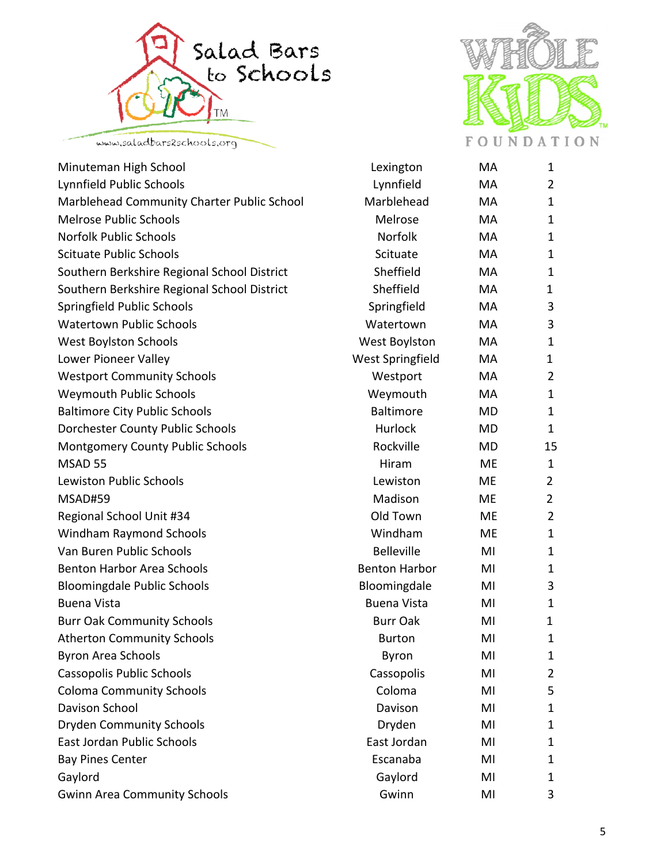



| Minuteman High School                       | Lexington            | MA        | $\mathbf{1}$   |
|---------------------------------------------|----------------------|-----------|----------------|
| Lynnfield Public Schools                    | Lynnfield            | MA        | $\overline{2}$ |
| Marblehead Community Charter Public School  | Marblehead           | MA        | $\mathbf{1}$   |
| <b>Melrose Public Schools</b>               | Melrose              | MA        | $\mathbf{1}$   |
| <b>Norfolk Public Schools</b>               | Norfolk              | MA        | $\mathbf{1}$   |
| <b>Scituate Public Schools</b>              | Scituate             | MA        | $\mathbf{1}$   |
| Southern Berkshire Regional School District | Sheffield            | MA        | $\mathbf{1}$   |
| Southern Berkshire Regional School District | Sheffield            | MA        | 1              |
| Springfield Public Schools                  | Springfield          | MA        | 3              |
| <b>Watertown Public Schools</b>             | Watertown            | MA        | 3              |
| <b>West Boylston Schools</b>                | <b>West Boylston</b> | MA        | $\mathbf 1$    |
| Lower Pioneer Valley                        | West Springfield     | MA        | $\mathbf{1}$   |
| <b>Westport Community Schools</b>           | Westport             | MA        | $\overline{2}$ |
| <b>Weymouth Public Schools</b>              | Weymouth             | MA        | $\mathbf{1}$   |
| <b>Baltimore City Public Schools</b>        | <b>Baltimore</b>     | <b>MD</b> | $\mathbf{1}$   |
| <b>Dorchester County Public Schools</b>     | Hurlock              | <b>MD</b> | $\mathbf{1}$   |
| <b>Montgomery County Public Schools</b>     | Rockville            | <b>MD</b> | 15             |
| MSAD 55                                     | Hiram                | <b>ME</b> | $\mathbf{1}$   |
| <b>Lewiston Public Schools</b>              | Lewiston             | <b>ME</b> | $\overline{2}$ |
| MSAD#59                                     | Madison              | ME        | $\overline{2}$ |
| Regional School Unit #34                    | Old Town             | <b>ME</b> | $\overline{2}$ |
| <b>Windham Raymond Schools</b>              | Windham              | <b>ME</b> | $\mathbf{1}$   |
| Van Buren Public Schools                    | <b>Belleville</b>    | MI        | $\mathbf{1}$   |
| <b>Benton Harbor Area Schools</b>           | <b>Benton Harbor</b> | MI        | $\mathbf{1}$   |
| <b>Bloomingdale Public Schools</b>          | Bloomingdale         | MI        | 3              |
| <b>Buena Vista</b>                          | <b>Buena Vista</b>   | MI        | $\mathbf{1}$   |
| <b>Burr Oak Community Schools</b>           | <b>Burr Oak</b>      | MI        | 1              |
| <b>Atherton Community Schools</b>           | <b>Burton</b>        | MI        | $\mathbf{1}$   |
| <b>Byron Area Schools</b>                   | Byron                | MI        | $\mathbf{1}$   |
| Cassopolis Public Schools                   | Cassopolis           | MI        | 2              |
| <b>Coloma Community Schools</b>             | Coloma               | MI        | 5              |
| Davison School                              | Davison              | MI        | 1              |
| <b>Dryden Community Schools</b>             | Dryden               | MI        | $\mathbf{1}$   |
| East Jordan Public Schools                  | East Jordan          | MI        | 1              |
| <b>Bay Pines Center</b>                     | Escanaba             | MI        | 1              |
| Gaylord                                     | Gaylord              | MI        | 1              |
| <b>Gwinn Area Community Schools</b>         | Gwinn                | MI        | 3              |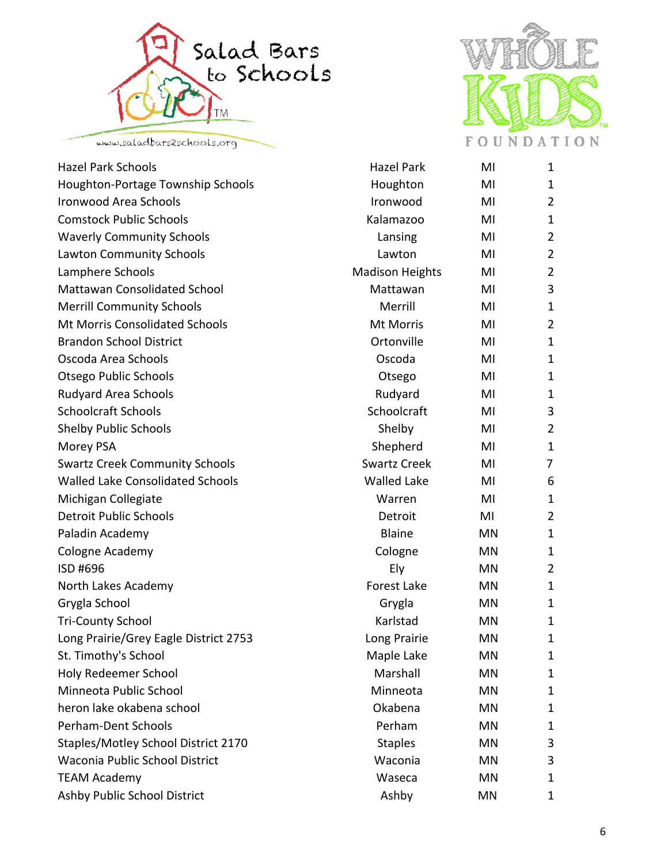



| <b>Hazel Park Schools</b>               | <b>Hazel Park</b>      | MI        | $\mathbf 1$    |
|-----------------------------------------|------------------------|-----------|----------------|
| Houghton-Portage Township Schools       | Houghton               | MI        | $\mathbf 1$    |
| <b>Ironwood Area Schools</b>            | Ironwood               | MI        | $\overline{2}$ |
| <b>Comstock Public Schools</b>          | Kalamazoo              | MI        | $\mathbf 1$    |
| <b>Waverly Community Schools</b>        | Lansing                | MI        | $\overline{2}$ |
| Lawton Community Schools                | Lawton                 | MI        | $\overline{2}$ |
| Lamphere Schools                        | <b>Madison Heights</b> | MI        | $\overline{2}$ |
| <b>Mattawan Consolidated School</b>     | Mattawan               | MI        | 3              |
| <b>Merrill Community Schools</b>        | Merrill                | MI        | $\mathbf{1}$   |
| <b>Mt Morris Consolidated Schools</b>   | Mt Morris              | MI        | 2              |
| <b>Brandon School District</b>          | Ortonville             | MI        | $\mathbf{1}$   |
| Oscoda Area Schools                     | Oscoda                 | MI        | $\mathbf{1}$   |
| <b>Otsego Public Schools</b>            | Otsego                 | MI        | $\mathbf 1$    |
| Rudyard Area Schools                    | Rudyard                | MI        | $\mathbf{1}$   |
| <b>Schoolcraft Schools</b>              | Schoolcraft            | MI        | 3              |
| <b>Shelby Public Schools</b>            | Shelby                 | MI        | 2              |
| Morey PSA                               | Shepherd               | MI        | $\mathbf{1}$   |
| <b>Swartz Creek Community Schools</b>   | <b>Swartz Creek</b>    | MI        | $\overline{7}$ |
| <b>Walled Lake Consolidated Schools</b> | <b>Walled Lake</b>     | MI        | 6              |
| Michigan Collegiate                     | Warren                 | MI        | $\mathbf{1}$   |
| <b>Detroit Public Schools</b>           | Detroit                | MI        | $\overline{2}$ |
| Paladin Academy                         | <b>Blaine</b>          | MN        | $\mathbf 1$    |
| Cologne Academy                         | Cologne                | MN        | $\mathbf{1}$   |
| ISD #696                                | Ely                    | <b>MN</b> | $\overline{2}$ |
| North Lakes Academy                     | <b>Forest Lake</b>     | MN        | $\mathbf 1$    |
| Grygla School                           | Grygla                 | MN        | $\mathbf{1}$   |
| <b>Tri-County School</b>                | Karlstad               | <b>MN</b> | $\mathbf 1$    |
| Long Prairie/Grey Eagle District 2753   | Long Prairie           | MN        | $\mathbf{1}$   |
| St. Timothy's School                    | Maple Lake             | MN        | $\mathbf{1}$   |
| Holy Redeemer School                    | Marshall               | MN        | $\mathbf{1}$   |
| Minneota Public School                  | Minneota               | MN        | $\mathbf 1$    |
| heron lake okabena school               | Okabena                | ΜN        | $\mathbf{1}$   |
| <b>Perham-Dent Schools</b>              | Perham                 | MN        | $\mathbf{1}$   |
| Staples/Motley School District 2170     | <b>Staples</b>         | <b>MN</b> | 3              |
| Waconia Public School District          | Waconia                | ΜN        | 3              |
| <b>TEAM Academy</b>                     | Waseca                 | MN        | $\mathbf 1$    |
| Ashby Public School District            | Ashby                  | MN        | $\mathbf 1$    |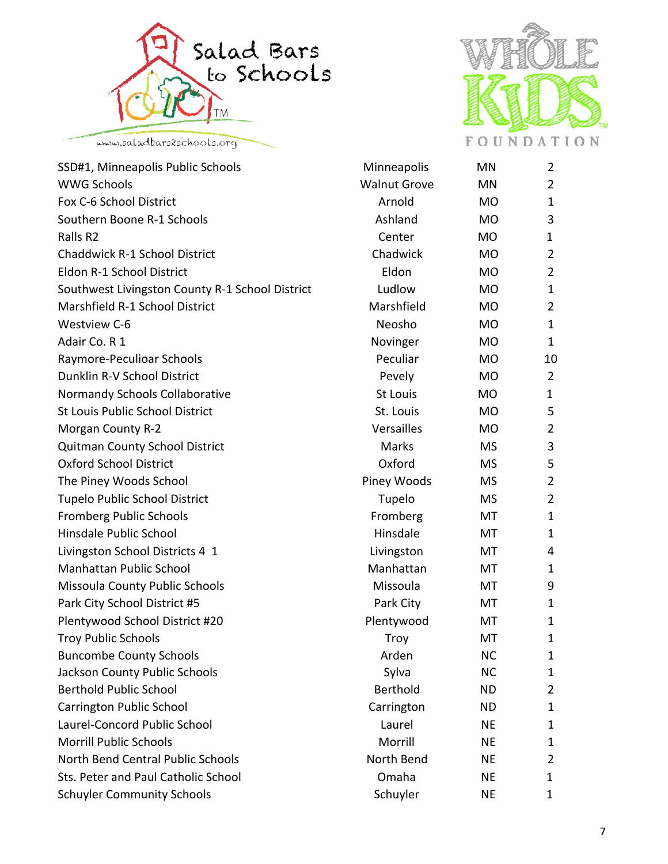



| SSD#1, Minneapolis Public Schools               | Minneapolis         | MN        | 2              |
|-------------------------------------------------|---------------------|-----------|----------------|
| <b>WWG Schools</b>                              | <b>Walnut Grove</b> | <b>MN</b> | $\overline{2}$ |
| Fox C-6 School District                         | Arnold              | <b>MO</b> | $\mathbf{1}$   |
| Southern Boone R-1 Schools                      | Ashland             | <b>MO</b> | 3              |
| Ralls R <sub>2</sub>                            | Center              | <b>MO</b> | 1              |
| <b>Chaddwick R-1 School District</b>            | Chadwick            | <b>MO</b> | $\overline{2}$ |
| Eldon R-1 School District                       | Eldon               | <b>MO</b> | $\overline{2}$ |
| Southwest Livingston County R-1 School District | Ludlow              | <b>MO</b> | 1              |
| Marshfield R-1 School District                  | Marshfield          | <b>MO</b> | $\overline{2}$ |
| <b>Westview C-6</b>                             | Neosho              | <b>MO</b> | $\mathbf{1}$   |
| Adair Co. R 1                                   | Novinger            | <b>MO</b> | 1              |
| Raymore-Peculioar Schools                       | Peculiar            | <b>MO</b> | 10             |
| Dunklin R-V School District                     | Pevely              | <b>MO</b> | $\overline{2}$ |
| Normandy Schools Collaborative                  | <b>St Louis</b>     | <b>MO</b> | 1              |
| <b>St Louis Public School District</b>          | St. Louis           | <b>MO</b> | 5              |
| <b>Morgan County R-2</b>                        | Versailles          | <b>MO</b> | $\overline{2}$ |
| Quitman County School District                  | Marks               | <b>MS</b> | 3              |
| <b>Oxford School District</b>                   | Oxford              | <b>MS</b> | 5              |
| The Piney Woods School                          | Piney Woods         | <b>MS</b> | $\overline{2}$ |
| <b>Tupelo Public School District</b>            | Tupelo              | <b>MS</b> | $\overline{2}$ |
| <b>Fromberg Public Schools</b>                  | Fromberg            | MT        | $\mathbf{1}$   |
| Hinsdale Public School                          | Hinsdale            | МT        | $\mathbf{1}$   |
| Livingston School Districts 4 1                 | Livingston          | МT        | 4              |
| <b>Manhattan Public School</b>                  | Manhattan           | МT        | $\mathbf 1$    |
| Missoula County Public Schools                  | Missoula            | МT        | 9              |
| Park City School District #5                    | Park City           | МT        | 1              |
| Plentywood School District #20                  | Plentywood          | МT        | $\mathbf 1$    |
| <b>Troy Public Schools</b>                      | <b>Troy</b>         | MT        | $\mathbf{1}$   |
| <b>Buncombe County Schools</b>                  | Arden               | <b>NC</b> | $\mathbf{1}$   |
| Jackson County Public Schools                   | Sylva               | <b>NC</b> | 1              |
| <b>Berthold Public School</b>                   | Berthold            | <b>ND</b> | 2              |
| <b>Carrington Public School</b>                 | Carrington          | <b>ND</b> | $\mathbf{1}$   |
| Laurel-Concord Public School                    | Laurel              | <b>NE</b> | 1              |
| <b>Morrill Public Schools</b>                   | Morrill             | <b>NE</b> | $\mathbf 1$    |
| <b>North Bend Central Public Schools</b>        | North Bend          | <b>NE</b> | $\overline{2}$ |
| Sts. Peter and Paul Catholic School             | Omaha               | <b>NE</b> | 1              |
| <b>Schuyler Community Schools</b>               | Schuyler            | <b>NE</b> | 1              |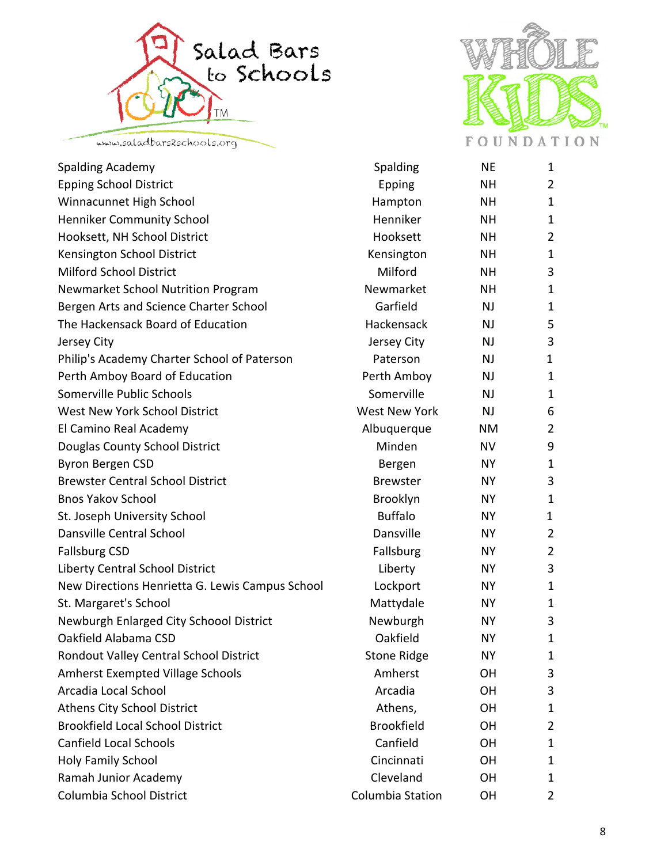



| <b>Spalding Academy</b>                         | Spalding             | <b>NE</b> | $\mathbf{1}$   |
|-------------------------------------------------|----------------------|-----------|----------------|
| <b>Epping School District</b>                   | <b>Epping</b>        | <b>NH</b> | $\overline{2}$ |
| Winnacunnet High School                         | Hampton              | <b>NH</b> | $\mathbf{1}$   |
| <b>Henniker Community School</b>                | Henniker             | <b>NH</b> | $\mathbf{1}$   |
| Hooksett, NH School District                    | Hooksett             | <b>NH</b> | 2              |
| Kensington School District                      | Kensington           | <b>NH</b> | $\mathbf{1}$   |
| <b>Milford School District</b>                  | Milford              | <b>NH</b> | 3              |
| <b>Newmarket School Nutrition Program</b>       | Newmarket            | <b>NH</b> | $\mathbf{1}$   |
| Bergen Arts and Science Charter School          | Garfield             | <b>NJ</b> | $\mathbf 1$    |
| The Hackensack Board of Education               | <b>Hackensack</b>    | <b>NJ</b> | 5              |
| Jersey City                                     | Jersey City          | <b>NJ</b> | 3              |
| Philip's Academy Charter School of Paterson     | Paterson             | <b>NJ</b> | 1              |
| Perth Amboy Board of Education                  | Perth Amboy          | <b>NJ</b> | $\mathbf{1}$   |
| Somerville Public Schools                       | Somerville           | <b>NJ</b> | $\mathbf{1}$   |
| <b>West New York School District</b>            | <b>West New York</b> | <b>NJ</b> | 6              |
| El Camino Real Academy                          | Albuquerque          | <b>NM</b> | $\overline{2}$ |
| Douglas County School District                  | Minden               | <b>NV</b> | 9              |
| <b>Byron Bergen CSD</b>                         | Bergen               | <b>NY</b> | $\mathbf{1}$   |
| <b>Brewster Central School District</b>         | <b>Brewster</b>      | <b>NY</b> | 3              |
| <b>Bnos Yakov School</b>                        | Brooklyn             | NY        | 1              |
| St. Joseph University School                    | <b>Buffalo</b>       | <b>NY</b> | 1              |
| Dansville Central School                        | <b>Dansville</b>     | <b>NY</b> | $\overline{2}$ |
| <b>Fallsburg CSD</b>                            | Fallsburg            | NY        | $\overline{2}$ |
| Liberty Central School District                 | Liberty              | <b>NY</b> | 3              |
| New Directions Henrietta G. Lewis Campus School | Lockport             | <b>NY</b> | $\mathbf{1}$   |
| St. Margaret's School                           | Mattydale            | NY        | $\mathbf{1}$   |
| Newburgh Enlarged City Schoool District         | Newburgh             | <b>NY</b> | 3              |
| Oakfield Alabama CSD                            | Oakfield             | <b>NY</b> | $\mathbf{1}$   |
| Rondout Valley Central School District          | <b>Stone Ridge</b>   | <b>NY</b> | 1              |
| <b>Amherst Exempted Village Schools</b>         | Amherst              | OH        | 3              |
| Arcadia Local School                            | Arcadia              | OH        | 3              |
| <b>Athens City School District</b>              | Athens,              | OH        | $\mathbf 1$    |
| <b>Brookfield Local School District</b>         | <b>Brookfield</b>    | <b>OH</b> | 2              |
| <b>Canfield Local Schools</b>                   | Canfield             | OH        | $\mathbf{1}$   |
| Holy Family School                              | Cincinnati           | OH        | 1              |
| Ramah Junior Academy                            | Cleveland            | <b>OH</b> | 1              |
| Columbia School District                        | Columbia Station     | OH        | 2              |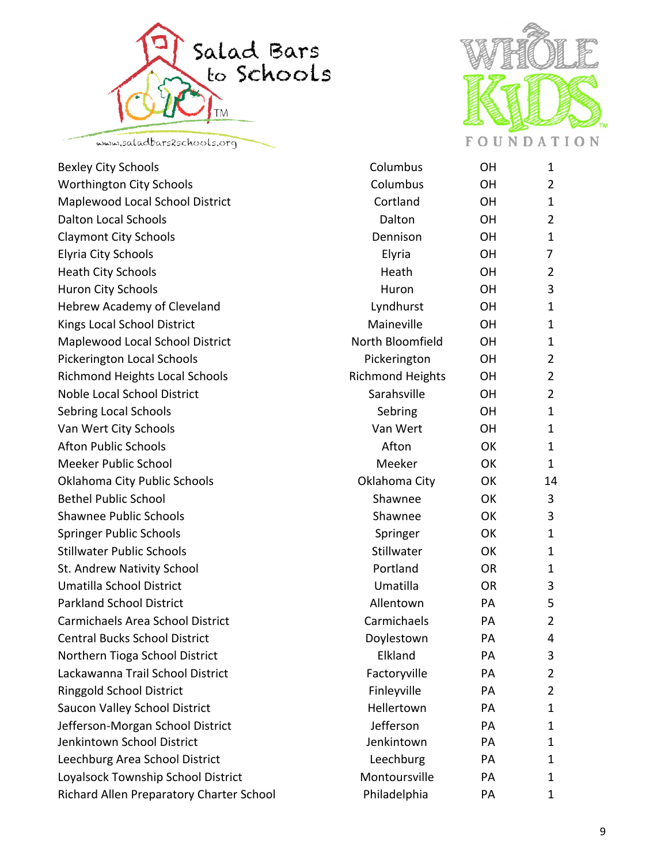





| <b>Bexley City Schools</b>               | Columbus                | OН        | $\mathbf{1}$   |
|------------------------------------------|-------------------------|-----------|----------------|
| <b>Worthington City Schools</b>          | Columbus                | OH        | 2              |
| Maplewood Local School District          | Cortland                | OH        | $\mathbf{1}$   |
| <b>Dalton Local Schools</b>              | Dalton                  | <b>OH</b> | $\overline{2}$ |
| <b>Claymont City Schools</b>             | Dennison                | OH        | 1              |
| <b>Elyria City Schools</b>               | Elyria                  | <b>OH</b> | 7              |
| <b>Heath City Schools</b>                | Heath                   | <b>OH</b> | $\overline{2}$ |
| Huron City Schools                       | Huron                   | OH        | 3              |
| <b>Hebrew Academy of Cleveland</b>       | Lyndhurst               | OH        | $\mathbf{1}$   |
| Kings Local School District              | Maineville              | OH        | $\mathbf{1}$   |
| Maplewood Local School District          | North Bloomfield        | OH        | 1              |
| <b>Pickerington Local Schools</b>        | Pickerington            | <b>OH</b> | $\overline{2}$ |
| <b>Richmond Heights Local Schools</b>    | <b>Richmond Heights</b> | <b>OH</b> | $\overline{2}$ |
| <b>Noble Local School District</b>       | Sarahsville             | OH        | 2              |
| Sebring Local Schools                    | Sebring                 | <b>OH</b> | $\mathbf{1}$   |
| Van Wert City Schools                    | Van Wert                | <b>OH</b> | $\mathbf{1}$   |
| <b>Afton Public Schools</b>              | Afton                   | OK        | $\mathbf 1$    |
| <b>Meeker Public School</b>              | Meeker                  | OK        | $\mathbf{1}$   |
| Oklahoma City Public Schools             | Oklahoma City           | OK        | 14             |
| <b>Bethel Public School</b>              | Shawnee                 | OK        | 3              |
| <b>Shawnee Public Schools</b>            | Shawnee                 | OK        | 3              |
| <b>Springer Public Schools</b>           | Springer                | OK        | $\mathbf{1}$   |
| <b>Stillwater Public Schools</b>         | Stillwater              | OK        | $\mathbf 1$    |
| St. Andrew Nativity School               | Portland                | <b>OR</b> | $\mathbf{1}$   |
| Umatilla School District                 | Umatilla                | <b>OR</b> | 3              |
| <b>Parkland School District</b>          | Allentown               | PA        | 5              |
| <b>Carmichaels Area School District</b>  | Carmichaels             | PA        | $\overline{2}$ |
| <b>Central Bucks School District</b>     | Doylestown              | PA        | 4              |
| Northern Tioga School District           | Elkland                 | PA        | 3              |
| Lackawanna Trail School District         | Factoryville            | PA        | 2              |
| <b>Ringgold School District</b>          | Finleyville             | PA        | $\overline{2}$ |
| Saucon Valley School District            | Hellertown              | PA        | $\mathbf 1$    |
| Jefferson-Morgan School District         | Jefferson               | PA        | 1              |
| Jenkintown School District               | Jenkintown              | PA        | 1              |
| Leechburg Area School District           | Leechburg               | PA        | 1              |
| Loyalsock Township School District       | Montoursville           | PA        | 1              |
| Richard Allen Preparatory Charter School | Philadelphia            | PA        | 1              |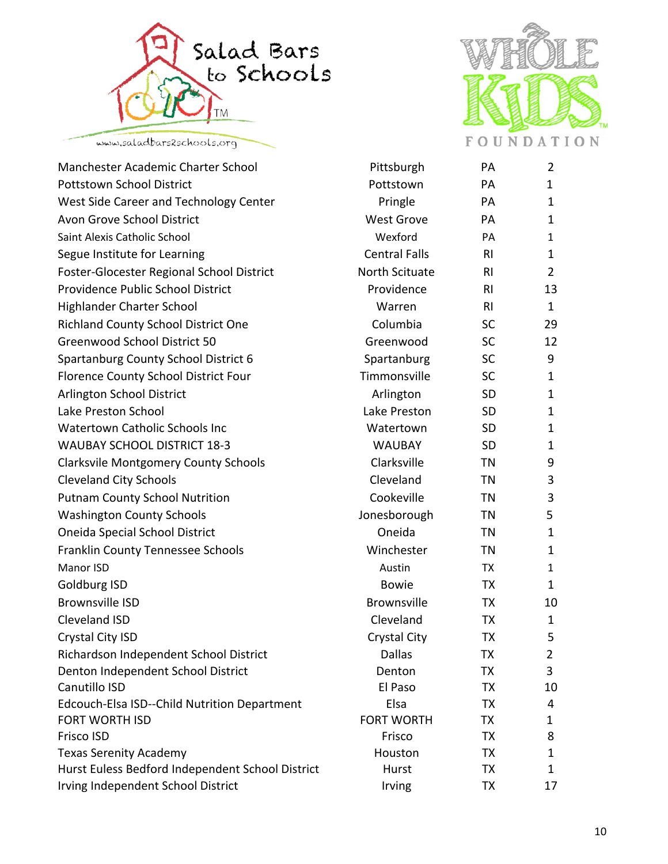



| Manchester Academic Charter School                  | Pittsburgh           | PA             | $\overline{2}$ |
|-----------------------------------------------------|----------------------|----------------|----------------|
| <b>Pottstown School District</b>                    | Pottstown            | PA             | $\mathbf{1}$   |
| West Side Career and Technology Center              | Pringle              | PA             | $\mathbf{1}$   |
| Avon Grove School District                          | <b>West Grove</b>    | PA             | $\mathbf{1}$   |
| Saint Alexis Catholic School                        | Wexford              | PA             | $\mathbf{1}$   |
| Segue Institute for Learning                        | <b>Central Falls</b> | R <sub>l</sub> | $\mathbf{1}$   |
| Foster-Glocester Regional School District           | North Scituate       | R <sub>l</sub> | $\overline{2}$ |
| Providence Public School District                   | Providence           | R <sub>l</sub> | 13             |
| Highlander Charter School                           | Warren               | R <sub>l</sub> | $\mathbf{1}$   |
| <b>Richland County School District One</b>          | Columbia             | <b>SC</b>      | 29             |
| <b>Greenwood School District 50</b>                 | Greenwood            | <b>SC</b>      | 12             |
| Spartanburg County School District 6                | Spartanburg          | <b>SC</b>      | 9              |
| Florence County School District Four                | Timmonsville         | <b>SC</b>      | $\mathbf{1}$   |
| <b>Arlington School District</b>                    | Arlington            | <b>SD</b>      | $\mathbf{1}$   |
| Lake Preston School                                 | Lake Preston         | <b>SD</b>      | $\mathbf{1}$   |
| <b>Watertown Catholic Schools Inc.</b>              | Watertown            | <b>SD</b>      | $\mathbf{1}$   |
| <b>WAUBAY SCHOOL DISTRICT 18-3</b>                  | <b>WAUBAY</b>        | <b>SD</b>      | $\mathbf{1}$   |
| <b>Clarksvile Montgomery County Schools</b>         | Clarksville          | <b>TN</b>      | 9              |
| <b>Cleveland City Schools</b>                       | Cleveland            | <b>TN</b>      | 3              |
| <b>Putnam County School Nutrition</b>               | Cookeville           | <b>TN</b>      | 3              |
| <b>Washington County Schools</b>                    | Jonesborough         | <b>TN</b>      | 5              |
| <b>Oneida Special School District</b>               | Oneida               | <b>TN</b>      | $\mathbf{1}$   |
| <b>Franklin County Tennessee Schools</b>            | Winchester           | <b>TN</b>      | $\mathbf{1}$   |
| Manor ISD                                           | Austin               | <b>TX</b>      | $\mathbf{1}$   |
| Goldburg ISD                                        | <b>Bowie</b>         | <b>TX</b>      | $\mathbf{1}$   |
| <b>Brownsville ISD</b>                              | <b>Brownsville</b>   | <b>TX</b>      | 10             |
| Cleveland ISD                                       | Cleveland            | <b>TX</b>      | $\mathbf{1}$   |
| Crystal City ISD                                    | Crystal City         | <b>TX</b>      | 5              |
| Richardson Independent School District              | <b>Dallas</b>        | TХ             | $\overline{L}$ |
| Denton Independent School District                  | Denton               | TX             | 3              |
| Canutillo ISD                                       | El Paso              | <b>TX</b>      | 10             |
| <b>Edcouch-Elsa ISD--Child Nutrition Department</b> | Elsa                 | <b>TX</b>      | 4              |
| <b>FORT WORTH ISD</b>                               | <b>FORT WORTH</b>    | TX             | 1              |
| Frisco ISD                                          | Frisco               | <b>TX</b>      | 8              |
| <b>Texas Serenity Academy</b>                       | Houston              | TX             | $\mathbf{1}$   |
| Hurst Euless Bedford Independent School District    | Hurst                | <b>TX</b>      | $\mathbf{1}$   |
| Irving Independent School District                  | Irving               | <b>TX</b>      | 17             |